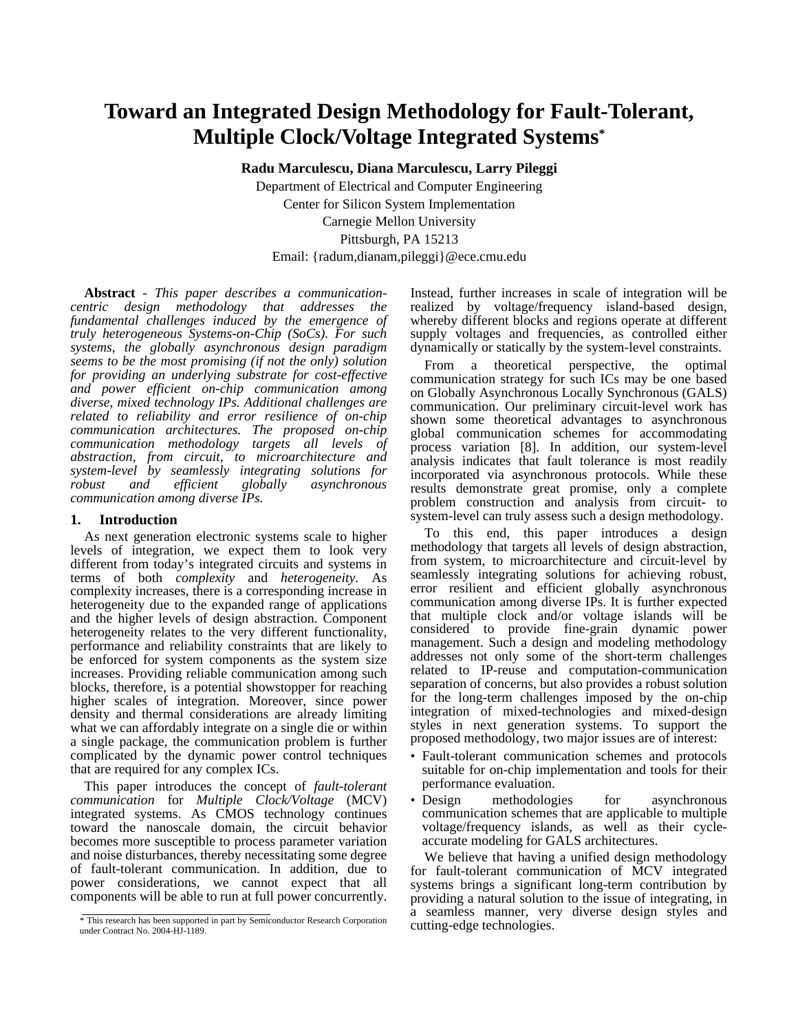# **Toward an Integrated Design Methodology for Fault-Tolerant, Multiple Clock/Voltage Integrated Systems\***

**Radu Marculescu, Diana Marculescu, Larry Pileggi** Department of Electrical and Computer Engineering Center for Silicon System Implementation Carnegie Mellon University Pittsburgh, PA 15213 Email: {radum,dianam,pileggi}@ece.cmu.edu

**Abstract** - *This paper describes a communicationcentric design methodology that addresses the fundamental challenges induced by the emergence of truly heterogeneous Systems-on-Chip (SoCs). For such systems, the globally asynchronous design paradigm seems to be the most promising (if not the only) solution for providing an underlying substrate for cost-effective and power efficient on-chip communication among diverse, mixed technology IPs. Additional challenges are related to reliability and error resilience of on-chip communication architectures. The proposed on-chip communication methodology targets all levels of abstraction, from circuit, to microarchitecture and system-level by seamlessly integrating solutions for robust and efficient globally asynchronous communication among diverse IPs.* 

#### **1. <sup>1</sup> Introduction**

As next generation electronic systems scale to higher levels of integration, we expect them to look very different from today's integrated circuits and systems in terms of both *complexity* and *heterogeneity*. As complexity increases, there is a corresponding increase in heterogeneity due to the expanded range of applications and the higher levels of design abstraction. Component heterogeneity relates to the very different functionality, performance and reliability constraints that are likely to be enforced for system components as the system size increases. Providing reliable communication among such blocks, therefore, is a potential showstopper for reaching higher scales of integration. Moreover, since power density and thermal considerations are already limiting what we can affordably integrate on a single die or within a single package, the communication problem is further complicated by the dynamic power control techniques that are required for any complex ICs.

This paper introduces the concept of *fault-tolerant communication* for *Multiple Clock/Voltage* (MCV) integrated systems. As CMOS technology continues toward the nanoscale domain, the circuit behavior becomes more susceptible to process parameter variation and noise disturbances, thereby necessitating some degree of fault-tolerant communication. In addition, due to power considerations, we cannot expect that all components will be able to run at full power concurrently.

Instead, further increases in scale of integration will be realized by voltage/frequency island-based design, whereby different blocks and regions operate at different supply voltages and frequencies, as controlled either dynamically or statically by the system-level constraints.

From a theoretical perspective, the optimal communication strategy for such ICs may be one based on Globally Asynchronous Locally Synchronous (GALS) communication. Our preliminary circuit-level work has shown some theoretical advantages to asynchronous global communication schemes for accommodating process variation [8]. In addition, our system-level analysis indicates that fault tolerance is most readily incorporated via asynchronous protocols. While these results demonstrate great promise, only a complete problem construction and analysis from circuit- to system-level can truly assess such a design methodology.

To this end, this paper introduces a design methodology that targets all levels of design abstraction, from system, to microarchitecture and circuit-level by seamlessly integrating solutions for achieving robust, error resilient and efficient globally asynchronous communication among diverse IPs. It is further expected that multiple clock and/or voltage islands will be considered to provide fine-grain dynamic power management. Such a design and modeling methodology addresses not only some of the short-term challenges related to IP-reuse and computation-communication separation of concerns, but also provides a robust solution for the long-term challenges imposed by the on-chip integration of mixed-technologies and mixed-design styles in next generation systems. To support the proposed methodology, two major issues are of interest:

- Fault-tolerant communication schemes and protocols suitable for on-chip implementation and tools for their performance evaluation.
- Design methodologies for asynchronous communication schemes that are applicable to multiple voltage/frequency islands, as well as their cycleaccurate modeling for GALS architectures.

We believe that having a unified design methodology for fault-tolerant communication of MCV integrated systems brings a significant long-term contribution by providing a natural solution to the issue of integrating, in a seamless manner, very diverse design styles and

This research has been supported in part by Semiconductor Research Corporation<br>under Contract No. 2004 HJ 1180 under Contract No. 2004-HJ-1189.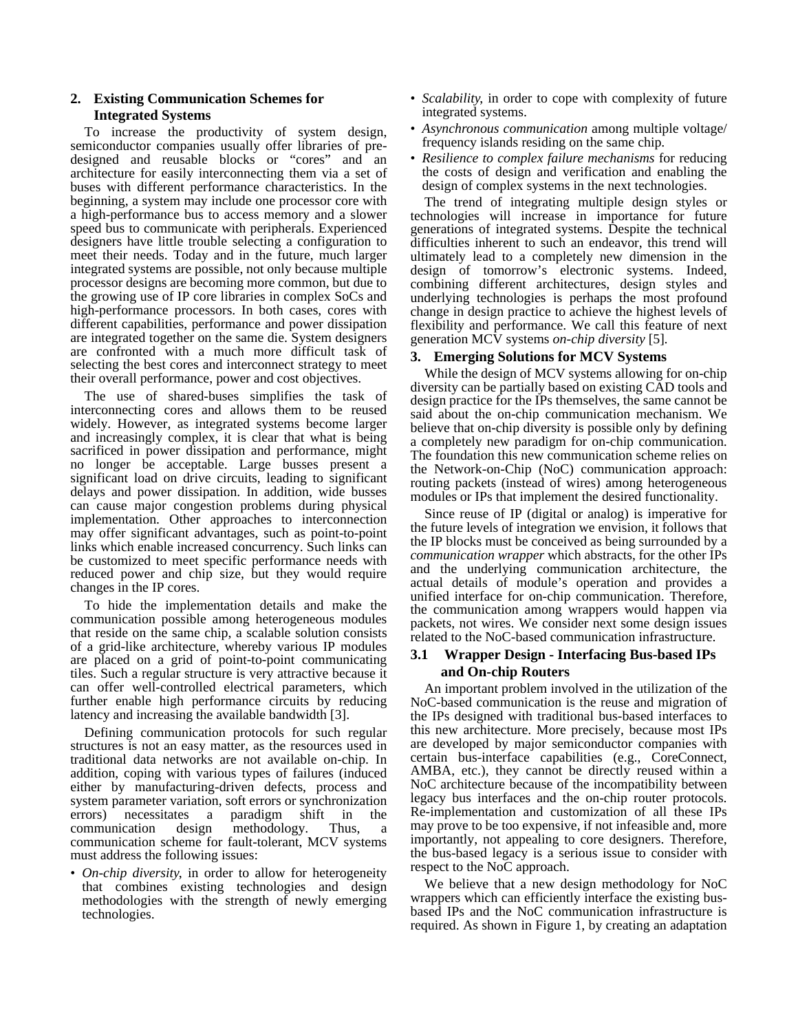# **2. Existing Communication Schemes for Integrated Systems**

To increase the productivity of system design, semiconductor companies usually offer libraries of predesigned and reusable blocks or "cores" and an architecture for easily interconnecting them via a set of buses with different performance characteristics. In the beginning, a system may include one processor core with a high-performance bus to access memory and a slower speed bus to communicate with peripherals. Experienced designers have little trouble selecting a configuration to meet their needs. Today and in the future, much larger integrated systems are possible, not only because multiple processor designs are becoming more common, but due to the growing use of IP core libraries in complex SoCs and high-performance processors. In both cases, cores with different capabilities, performance and power dissipation are integrated together on the same die. System designers are confronted with a much more difficult task of selecting the best cores and interconnect strategy to meet their overall performance, power and cost objectives.

The use of shared-buses simplifies the task of interconnecting cores and allows them to be reused widely. However, as integrated systems become larger and increasingly complex, it is clear that what is being sacrificed in power dissipation and performance, might no longer be acceptable. Large busses present a significant load on drive circuits, leading to significant delays and power dissipation. In addition, wide busses can cause major congestion problems during physical implementation. Other approaches to interconnection may offer significant advantages, such as point-to-point links which enable increased concurrency. Such links can be customized to meet specific performance needs with reduced power and chip size, but they would require changes in the IP cores.

To hide the implementation details and make the communication possible among heterogeneous modules that reside on the same chip, a scalable solution consists of a grid-like architecture, whereby various IP modules are placed on a grid of point-to-point communicating tiles. Such a regular structure is very attractive because it can offer well-controlled electrical parameters, which further enable high performance circuits by reducing latency and increasing the available bandwidth [3].

Defining communication protocols for such regular structures is not an easy matter, as the resources used in traditional data networks are not available on-chip. In addition, coping with various types of failures (induced either by manufacturing-driven defects, process and system parameter variation, soft errors or synchronization errors) necessitates a paradigm shift in the communication design methodology. Thus, a communication scheme for fault-tolerant, MCV systems must address the following issues:

• *On-chip diversity*, in order to allow for heterogeneity that combines existing technologies and design methodologies with the strength of newly emerging technologies.

- *Scalability*, in order to cope with complexity of future integrated systems.
- *Asynchronous communication* among multiple voltage/ frequency islands residing on the same chip.
- *Resilience to complex failure mechanisms* for reducing the costs of design and verification and enabling the design of complex systems in the next technologies.

The trend of integrating multiple design styles or technologies will increase in importance for future generations of integrated systems. Despite the technical difficulties inherent to such an endeavor, this trend will ultimately lead to a completely new dimension in the design of tomorrow's electronic systems. Indeed, combining different architectures, design styles and underlying technologies is perhaps the most profound change in design practice to achieve the highest levels of flexibility and performance. We call this feature of next generation MCV systems *on-chip diversity* [5]*.* 

## **3. Emerging Solutions for MCV Systems**

While the design of MCV systems allowing for on-chip diversity can be partially based on existing CAD tools and design practice for the IPs themselves, the same cannot be said about the on-chip communication mechanism. We believe that on-chip diversity is possible only by defining a completely new paradigm for on-chip communication. The foundation this new communication scheme relies on the Network-on-Chip (NoC) communication approach: routing packets (instead of wires) among heterogeneous modules or IPs that implement the desired functionality.

Since reuse of IP (digital or analog) is imperative for the future levels of integration we envision, it follows that the IP blocks must be conceived as being surrounded by a *communication wrapper* which abstracts, for the other IPs and the underlying communication architecture, the actual details of module's operation and provides a unified interface for on-chip communication. Therefore, the communication among wrappers would happen via packets, not wires. We consider next some design issues related to the NoC-based communication infrastructure.

# **3.1 Wrapper Design - Interfacing Bus-based IPs and On-chip Routers**

An important problem involved in the utilization of the NoC-based communication is the reuse and migration of the IPs designed with traditional bus-based interfaces to this new architecture. More precisely, because most IPs are developed by major semiconductor companies with certain bus-interface capabilities (e.g., CoreConnect, AMBA, etc.), they cannot be directly reused within a NoC architecture because of the incompatibility between legacy bus interfaces and the on-chip router protocols. Re-implementation and customization of all these IPs may prove to be too expensive, if not infeasible and, more importantly, not appealing to core designers. Therefore, the bus-based legacy is a serious issue to consider with respect to the NoC approach.

We believe that a new design methodology for NoC wrappers which can efficiently interface the existing busbased IPs and the NoC communication infrastructure is required. As shown in Figure 1, by creating an adaptation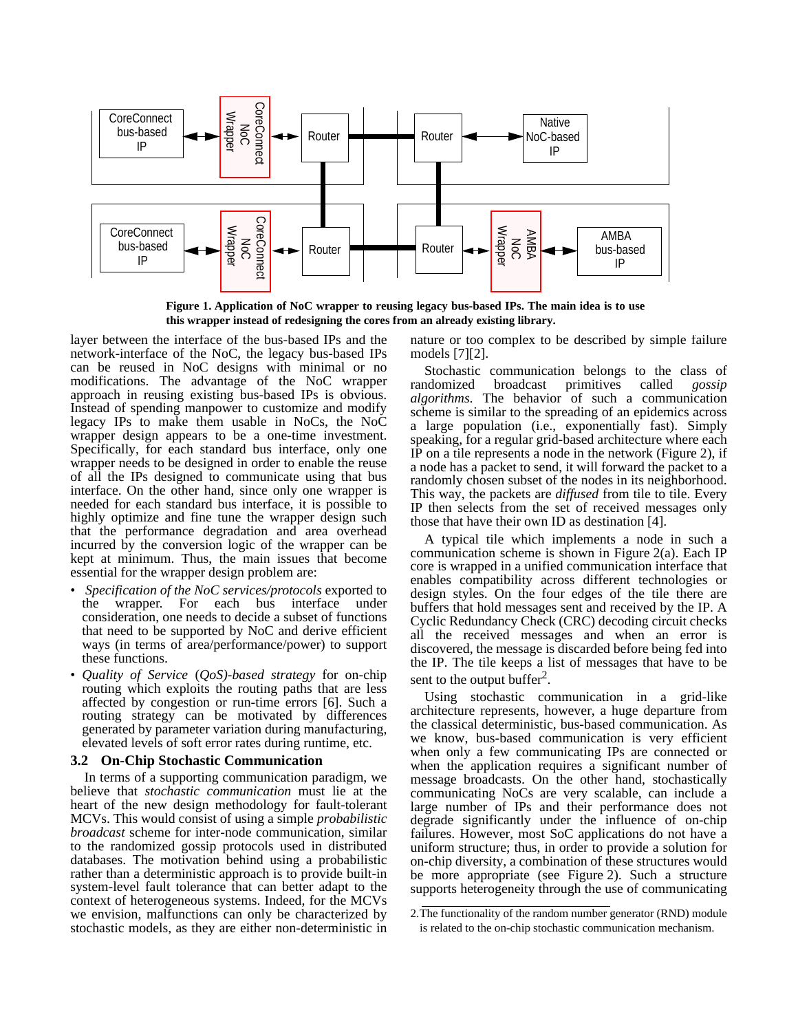

**Figure 1. Application of NoC wrapper to reusing legacy bus-based IPs. The main idea is to use this wrapper instead of redesigning the cores from an already existing library.** 

layer between the interface of the bus-based IPs and the network-interface of the NoC, the legacy bus-based IPs can be reused in NoC designs with minimal or no modifications. The advantage of the NoC wrapper approach in reusing existing bus-based IPs is obvious. Instead of spending manpower to customize and modify legacy IPs to make them usable in NoCs, the NoC wrapper design appears to be a one-time investment. Specifically, for each standard bus interface, only one wrapper needs to be designed in order to enable the reuse of all the IPs designed to communicate using that bus interface. On the other hand, since only one wrapper is needed for each standard bus interface, it is possible to highly optimize and fine tune the wrapper design such that the performance degradation and area overhead incurred by the conversion logic of the wrapper can be kept at minimum. Thus, the main issues that become essential for the wrapper design problem are:

- *Specification of the NoC services/protocols* exported to the wrapper. For each bus interface under consideration, one needs to decide a subset of functions that need to be supported by NoC and derive efficient ways (in terms of area/performance/power) to support these functions.
- *Quality of Service* (*QoS)-based strategy* for on-chip routing which exploits the routing paths that are less affected by congestion or run-time errors [6]. Such a routing strategy can be motivated by differences generated by parameter variation during manufacturing, elevated levels of soft error rates during runtime, etc.

#### **3.2 On-Chip Stochastic Communication**

In terms of a supporting communication paradigm, we believe that *stochastic communication* must lie at the heart of the new design methodology for fault-tolerant MCVs. This would consist of using a simple *probabilistic broadcast* scheme for inter-node communication, similar to the randomized gossip protocols used in distributed databases. The motivation behind using a probabilistic rather than a deterministic approach is to provide built-in system-level fault tolerance that can better adapt to the context of heterogeneous systems. Indeed, for the MCVs we envision, malfunctions can only be characterized by stochastic models, as they are either non-deterministic in nature or too complex to be described by simple failure models [7][2].

Stochastic communication belongs to the class of randomized broadcast primitives called *gossip* broadcast primitives called *gossip algorithms*. The behavior of such a communication scheme is similar to the spreading of an epidemics across a large population (i.e., exponentially fast). Simply speaking, for a regular grid-based architecture where each IP on a tile represents a node in the network (Figure 2), if a node has a packet to send, it will forward the packet to a randomly chosen subset of the nodes in its neighborhood. This way, the packets are *diffused* from tile to tile. Every IP then selects from the set of received messages only those that have their own ID as destination [4].

A typical tile which implements a node in such a communication scheme is shown in Figure 2(a). Each IP core is wrapped in a unified communication interface that enables compatibility across different technologies or design styles. On the four edges of the tile there are buffers that hold messages sent and received by the IP. A Cyclic Redundancy Check (CRC) decoding circuit checks all the received messages and when an error is discovered, the message is discarded before being fed into the IP. The tile keeps a list of messages that have to be sent to the output buffer<sup>2</sup>.

Using stochastic communication in a grid-like architecture represents, however, a huge departure from the classical deterministic, bus-based communication. As we know, bus-based communication is very efficient when only a few communicating IPs are connected or when the application requires a significant number of message broadcasts. On the other hand, stochastically communicating NoCs are very scalable, can include a large number of IPs and their performance does not degrade significantly under the influence of on-chip failures. However, most SoC applications do not have a uniform structure; thus, in order to provide a solution for on-chip diversity, a combination of these structures would be more appropriate (see Figure 2). Such a structure supports heterogeneity through the use of communicating

<sup>2.</sup>The functionality of the random number generator (RND) module is related to the on-chip stochastic communication mechanism.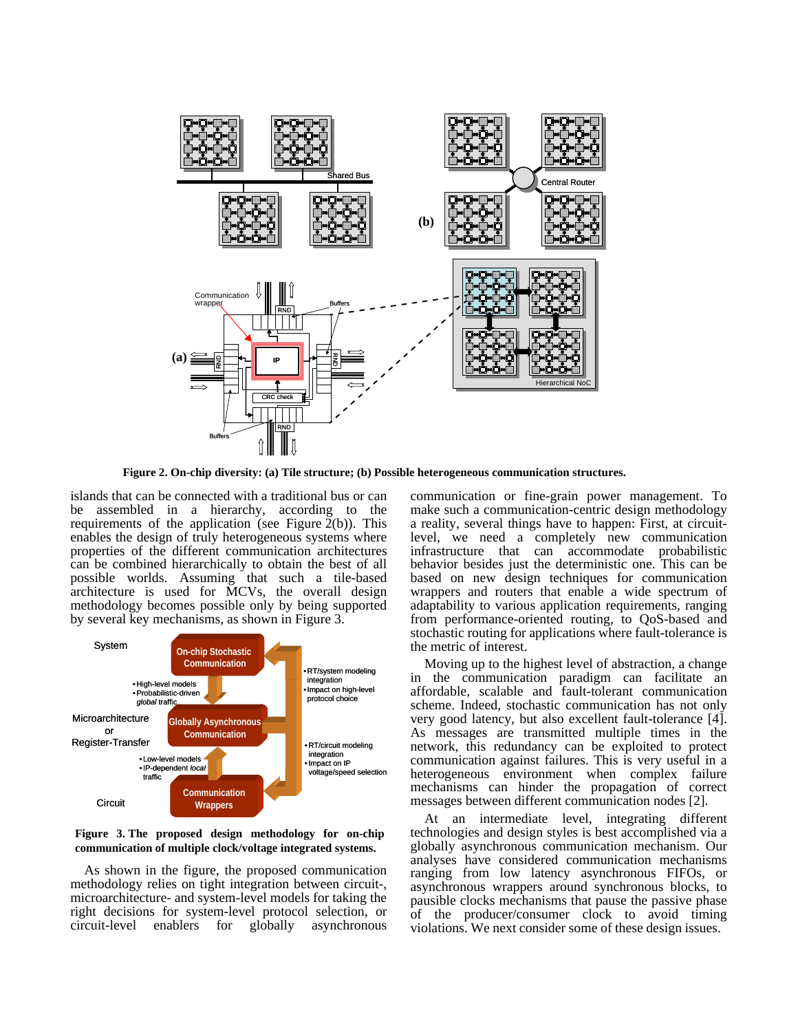

**Figure 2. On-chip diversity: (a) Tile structure; (b) Possible heterogeneous communication structures.**

islands that can be connected with a traditional bus or can be assembled in a hierarchy, according to the requirements of the application (see Figure  $\tilde{2}(b)$ ). This enables the design of truly heterogeneous systems where properties of the different communication architectures can be combined hierarchically to obtain the best of all possible worlds. Assuming that such a tile-based architecture is used for MCVs, the overall design methodology becomes possible only by being supported by several key mechanisms, as shown in Figure 3.



**Figure 3. The proposed design methodology for on-chip communication of multiple clock/voltage integrated systems.**

As shown in the figure, the proposed communication methodology relies on tight integration between circuit-, microarchitecture- and system-level models for taking the right decisions for system-level protocol selection, or circuit-level enablers for globally asynchronous communication or fine-grain power management. To make such a communication-centric design methodology a reality, several things have to happen: First, at circuitlevel, we need a completely new communication infrastructure that can accommodate probabilistic behavior besides just the deterministic one. This can be based on new design techniques for communication wrappers and routers that enable a wide spectrum of adaptability to various application requirements, ranging from performance-oriented routing, to QoS-based and stochastic routing for applications where fault-tolerance is the metric of interest.

Moving up to the highest level of abstraction, a change in the communication paradigm can facilitate an affordable, scalable and fault-tolerant communication scheme. Indeed, stochastic communication has not only very good latency, but also excellent fault-tolerance [4]. As messages are transmitted multiple times in the network, this redundancy can be exploited to protect communication against failures. This is very useful in a heterogeneous environment when complex failure mechanisms can hinder the propagation of correct messages between different communication nodes [2].

At an intermediate level, integrating different technologies and design styles is best accomplished via a globally asynchronous communication mechanism. Our analyses have considered communication mechanisms ranging from low latency asynchronous FIFOs, or asynchronous wrappers around synchronous blocks, to pausible clocks mechanisms that pause the passive phase of the producer/consumer clock to avoid timing violations. We next consider some of these design issues.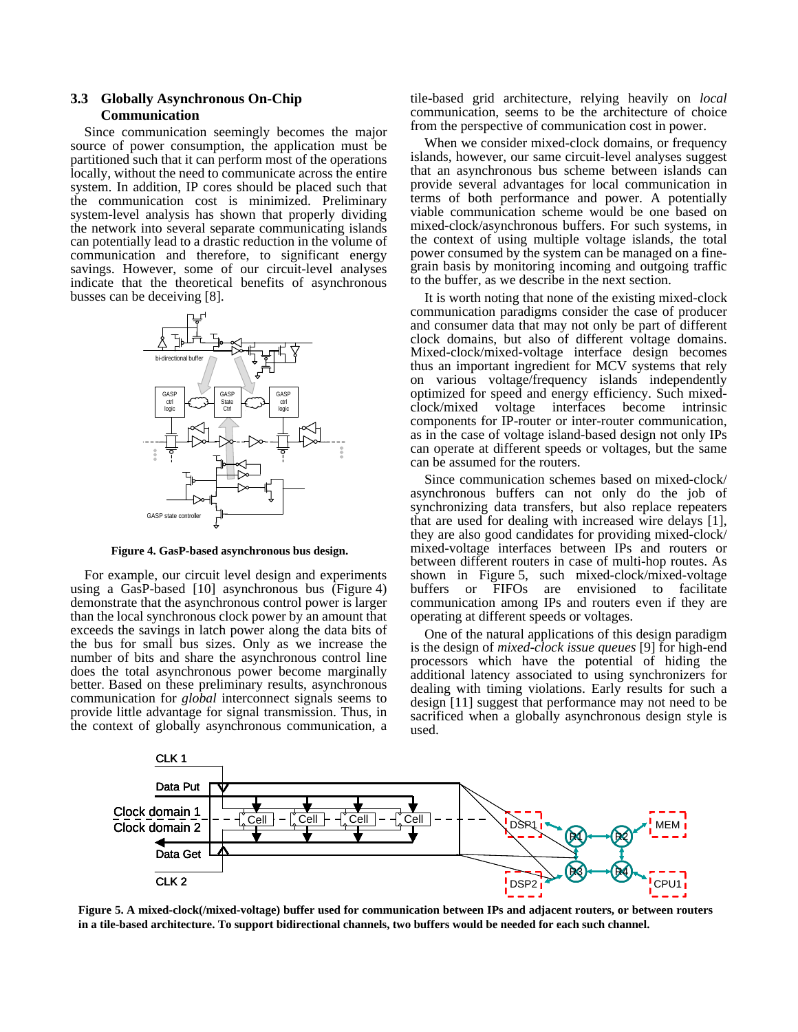# **3.3 Globally Asynchronous On-Chip Communication**

Since communication seemingly becomes the major source of power consumption, the application must be partitioned such that it can perform most of the operations locally, without the need to communicate across the entire system. In addition, IP cores should be placed such that the communication cost is minimized. Preliminary system-level analysis has shown that properly dividing the network into several separate communicating islands can potentially lead to a drastic reduction in the volume of communication and therefore, to significant energy savings. However, some of our circuit-level analyses indicate that the theoretical benefits of asynchronous busses can be deceiving [8].



**Figure 4. GasP-based asynchronous bus design.** 

For example, our circuit level design and experiments using a GasP-based [10] asynchronous bus (Figure 4) demonstrate that the asynchronous control power is larger than the local synchronous clock power by an amount that exceeds the savings in latch power along the data bits of the bus for small bus sizes. Only as we increase the number of bits and share the asynchronous control line does the total asynchronous power become marginally better. Based on these preliminary results, asynchronous communication for *global* interconnect signals seems to provide little advantage for signal transmission. Thus, in the context of globally asynchronous communication, a

tile-based grid architecture, relying heavily on *local* communication, seems to be the architecture of choice from the perspective of communication cost in power.

When we consider mixed-clock domains, or frequency islands, however, our same circuit-level analyses suggest that an asynchronous bus scheme between islands can provide several advantages for local communication in terms of both performance and power. A potentially viable communication scheme would be one based on mixed-clock/asynchronous buffers. For such systems, in the context of using multiple voltage islands, the total power consumed by the system can be managed on a finegrain basis by monitoring incoming and outgoing traffic to the buffer, as we describe in the next section.

It is worth noting that none of the existing mixed-clock communication paradigms consider the case of producer and consumer data that may not only be part of different clock domains, but also of different voltage domains. Mixed-clock/mixed-voltage interface design becomes thus an important ingredient for MCV systems that rely on various voltage/frequency islands independently optimized for speed and energy efficiency. Such mixedclock/mixed voltage interfaces become intrinsic components for IP-router or inter-router communication, as in the case of voltage island-based design not only IPs can operate at different speeds or voltages, but the same can be assumed for the routers.

Since communication schemes based on mixed-clock/ asynchronous buffers can not only do the job of synchronizing data transfers, but also replace repeaters that are used for dealing with increased wire delays [1], they are also good candidates for providing mixed-clock/ mixed-voltage interfaces between IPs and routers or between different routers in case of multi-hop routes. As shown in Figure 5, such mixed-clock/mixed-voltage buffers or FIFOs are envisioned to facilitate communication among IPs and routers even if they are operating at different speeds or voltages.

One of the natural applications of this design paradigm is the design of *mixed-clock issue queues* [9] for high-end processors which have the potential of hiding the additional latency associated to using synchronizers for dealing with timing violations. Early results for such a design [11] suggest that performance may not need to be sacrificed when a globally asynchronous design style is used.



**Figure 5. A mixed-clock(/mixed-voltage) buffer used for communication between IPs and adjacent routers, or between routers in a tile-based architecture. To support bidirectional channels, two buffers would be needed for each such channel.**